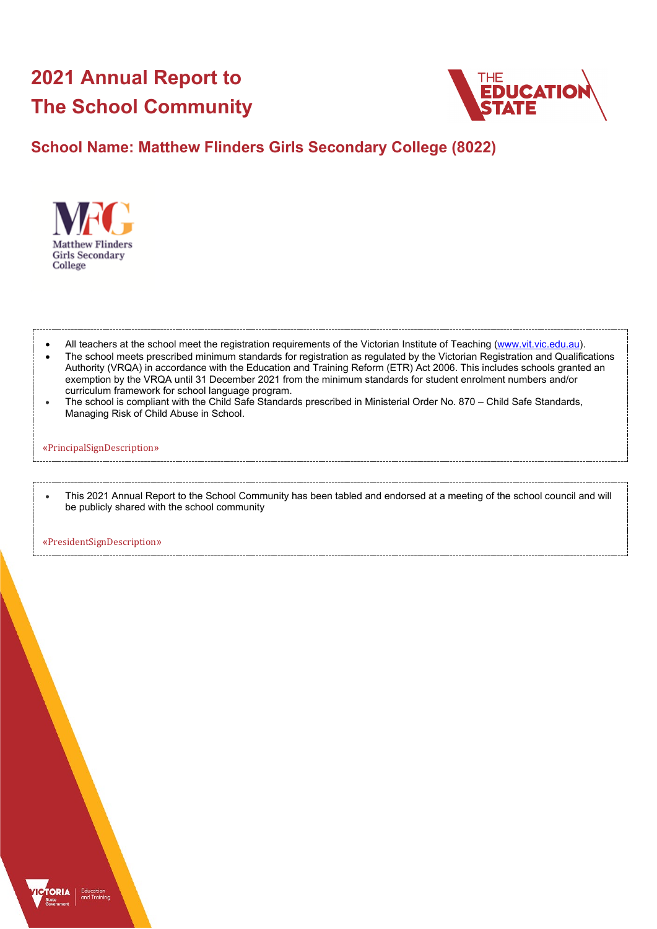# **2021 Annual Report to The School Community**



# **School Name: Matthew Flinders Girls Secondary College (8022)**



- All teachers at the school meet the registration requirements of the Victorian Institute of Teaching [\(www.vit.vic.edu.au\)](https://www.vit.vic.edu.au/).
- The school meets prescribed minimum standards for registration as regulated by the Victorian Registration and Qualifications Authority (VRQA) in accordance with the Education and Training Reform (ETR) Act 2006. This includes schools granted an exemption by the VRQA until 31 December 2021 from the minimum standards for student enrolment numbers and/or curriculum framework for school language program.
- The school is compliant with the Child Safe Standards prescribed in Ministerial Order No. 870 Child Safe Standards, Managing Risk of Child Abuse in School.

#### «PrincipalSignDescription»

• This 2021 Annual Report to the School Community has been tabled and endorsed at a meeting of the school council and will be publicly shared with the school community

«PresidentSignDescription»

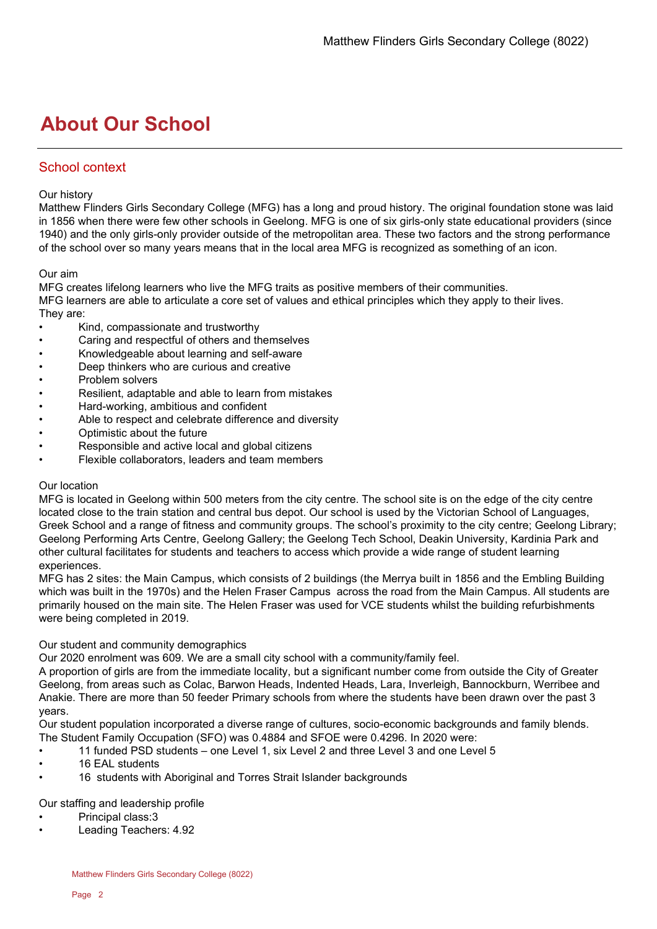# **About Our School**

## School context

#### Our history

Matthew Flinders Girls Secondary College (MFG) has a long and proud history. The original foundation stone was laid in 1856 when there were few other schools in Geelong. MFG is one of six girls-only state educational providers (since 1940) and the only girls-only provider outside of the metropolitan area. These two factors and the strong performance of the school over so many years means that in the local area MFG is recognized as something of an icon.

#### Our aim

MFG creates lifelong learners who live the MFG traits as positive members of their communities. MFG learners are able to articulate a core set of values and ethical principles which they apply to their lives. They are:

- Kind, compassionate and trustworthy
- Caring and respectful of others and themselves
- Knowledgeable about learning and self-aware
- Deep thinkers who are curious and creative
- Problem solvers
- Resilient, adaptable and able to learn from mistakes
- Hard-working, ambitious and confident
- Able to respect and celebrate difference and diversity
- Optimistic about the future
- Responsible and active local and global citizens
- Flexible collaborators, leaders and team members

#### Our location

MFG is located in Geelong within 500 meters from the city centre. The school site is on the edge of the city centre located close to the train station and central bus depot. Our school is used by the Victorian School of Languages, Greek School and a range of fitness and community groups. The school's proximity to the city centre; Geelong Library; Geelong Performing Arts Centre, Geelong Gallery; the Geelong Tech School, Deakin University, Kardinia Park and other cultural facilitates for students and teachers to access which provide a wide range of student learning experiences.

MFG has 2 sites: the Main Campus, which consists of 2 buildings (the Merrya built in 1856 and the Embling Building which was built in the 1970s) and the Helen Fraser Campus across the road from the Main Campus. All students are primarily housed on the main site. The Helen Fraser was used for VCE students whilst the building refurbishments were being completed in 2019.

#### Our student and community demographics

Our 2020 enrolment was 609. We are a small city school with a community/family feel.

A proportion of girls are from the immediate locality, but a significant number come from outside the City of Greater Geelong, from areas such as Colac, Barwon Heads, Indented Heads, Lara, Inverleigh, Bannockburn, Werribee and Anakie. There are more than 50 feeder Primary schools from where the students have been drawn over the past 3 years.

Our student population incorporated a diverse range of cultures, socio-economic backgrounds and family blends. The Student Family Occupation (SFO) was 0.4884 and SFOE were 0.4296. In 2020 were:

- 11 funded PSD students one Level 1, six Level 2 and three Level 3 and one Level 5
- 16 EAL students
- 16 students with Aboriginal and Torres Strait Islander backgrounds

Our staffing and leadership profile

- Principal class:3
- Leading Teachers: 4.92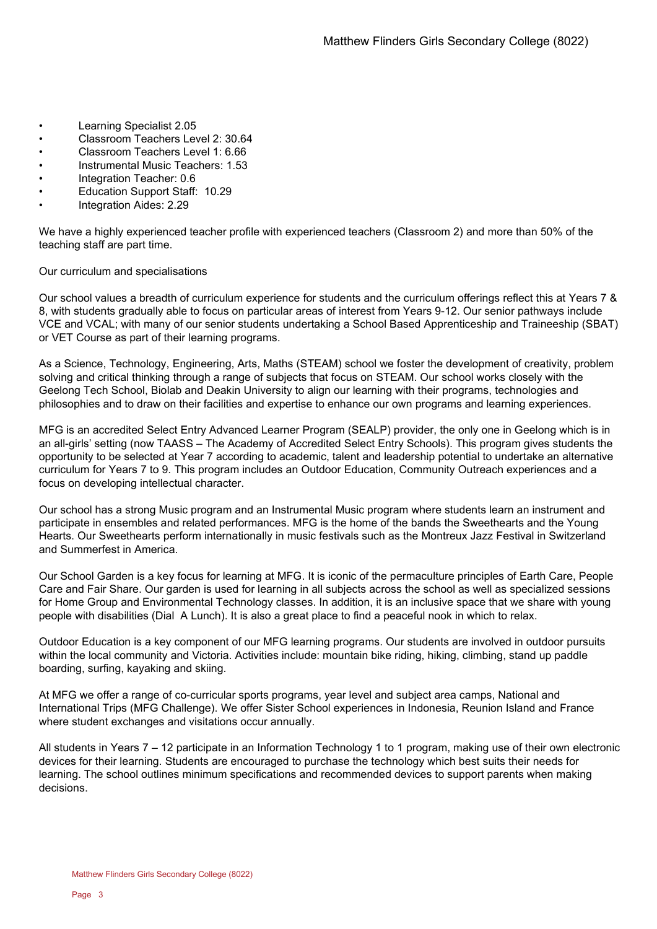- Learning Specialist 2.05
- Classroom Teachers Level 2: 30.64
- Classroom Teachers Level 1: 6.66
- Instrumental Music Teachers: 1.53
- Integration Teacher: 0.6
- Education Support Staff: 10.29
- Integration Aides: 2.29

We have a highly experienced teacher profile with experienced teachers (Classroom 2) and more than 50% of the teaching staff are part time.

Our curriculum and specialisations

Our school values a breadth of curriculum experience for students and the curriculum offerings reflect this at Years 7 & 8, with students gradually able to focus on particular areas of interest from Years 9-12. Our senior pathways include VCE and VCAL; with many of our senior students undertaking a School Based Apprenticeship and Traineeship (SBAT) or VET Course as part of their learning programs.

As a Science, Technology, Engineering, Arts, Maths (STEAM) school we foster the development of creativity, problem solving and critical thinking through a range of subjects that focus on STEAM. Our school works closely with the Geelong Tech School, Biolab and Deakin University to align our learning with their programs, technologies and philosophies and to draw on their facilities and expertise to enhance our own programs and learning experiences.

MFG is an accredited Select Entry Advanced Learner Program (SEALP) provider, the only one in Geelong which is in an all-girls' setting (now TAASS – The Academy of Accredited Select Entry Schools). This program gives students the opportunity to be selected at Year 7 according to academic, talent and leadership potential to undertake an alternative curriculum for Years 7 to 9. This program includes an Outdoor Education, Community Outreach experiences and a focus on developing intellectual character.

Our school has a strong Music program and an Instrumental Music program where students learn an instrument and participate in ensembles and related performances. MFG is the home of the bands the Sweethearts and the Young Hearts. Our Sweethearts perform internationally in music festivals such as the Montreux Jazz Festival in Switzerland and Summerfest in America.

Our School Garden is a key focus for learning at MFG. It is iconic of the permaculture principles of Earth Care, People Care and Fair Share. Our garden is used for learning in all subjects across the school as well as specialized sessions for Home Group and Environmental Technology classes. In addition, it is an inclusive space that we share with young people with disabilities (Dial A Lunch). It is also a great place to find a peaceful nook in which to relax.

Outdoor Education is a key component of our MFG learning programs. Our students are involved in outdoor pursuits within the local community and Victoria. Activities include: mountain bike riding, hiking, climbing, stand up paddle boarding, surfing, kayaking and skiing.

At MFG we offer a range of co-curricular sports programs, year level and subject area camps, National and International Trips (MFG Challenge). We offer Sister School experiences in Indonesia, Reunion Island and France where student exchanges and visitations occur annually.

All students in Years 7 – 12 participate in an Information Technology 1 to 1 program, making use of their own electronic devices for their learning. Students are encouraged to purchase the technology which best suits their needs for learning. The school outlines minimum specifications and recommended devices to support parents when making decisions.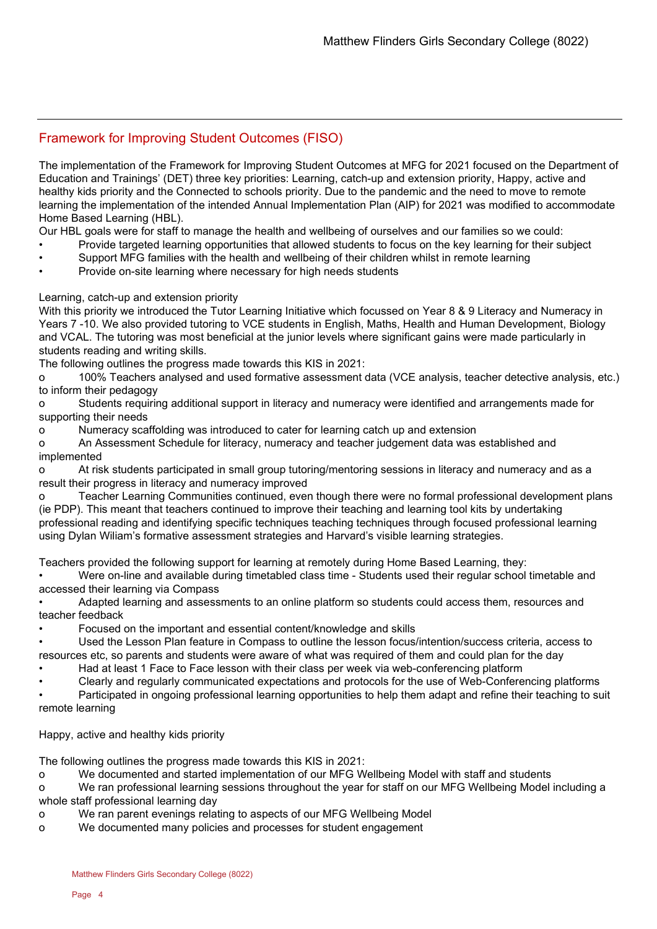## Framework for Improving Student Outcomes (FISO)

The implementation of the Framework for Improving Student Outcomes at MFG for 2021 focused on the Department of Education and Trainings' (DET) three key priorities: Learning, catch-up and extension priority, Happy, active and healthy kids priority and the Connected to schools priority. Due to the pandemic and the need to move to remote learning the implementation of the intended Annual Implementation Plan (AIP) for 2021 was modified to accommodate Home Based Learning (HBL).

Our HBL goals were for staff to manage the health and wellbeing of ourselves and our families so we could:

- Provide targeted learning opportunities that allowed students to focus on the key learning for their subject
- Support MFG families with the health and wellbeing of their children whilst in remote learning
- Provide on-site learning where necessary for high needs students

## Learning, catch-up and extension priority

With this priority we introduced the Tutor Learning Initiative which focussed on Year 8 & 9 Literacy and Numeracy in Years 7 -10. We also provided tutoring to VCE students in English, Maths, Health and Human Development, Biology and VCAL. The tutoring was most beneficial at the junior levels where significant gains were made particularly in students reading and writing skills.

The following outlines the progress made towards this KIS in 2021:

o 100% Teachers analysed and used formative assessment data (VCE analysis, teacher detective analysis, etc.) to inform their pedagogy

o Students requiring additional support in literacy and numeracy were identified and arrangements made for supporting their needs

o Numeracy scaffolding was introduced to cater for learning catch up and extension

o An Assessment Schedule for literacy, numeracy and teacher judgement data was established and implemented

o At risk students participated in small group tutoring/mentoring sessions in literacy and numeracy and as a result their progress in literacy and numeracy improved

o Teacher Learning Communities continued, even though there were no formal professional development plans (ie PDP). This meant that teachers continued to improve their teaching and learning tool kits by undertaking professional reading and identifying specific techniques teaching techniques through focused professional learning using Dylan Wiliam's formative assessment strategies and Harvard's visible learning strategies.

Teachers provided the following support for learning at remotely during Home Based Learning, they:

• Were on-line and available during timetabled class time - Students used their regular school timetable and accessed their learning via Compass

• Adapted learning and assessments to an online platform so students could access them, resources and teacher feedback

• Focused on the important and essential content/knowledge and skills

• Used the Lesson Plan feature in Compass to outline the lesson focus/intention/success criteria, access to resources etc, so parents and students were aware of what was required of them and could plan for the day

• Had at least 1 Face to Face lesson with their class per week via web-conferencing platform

• Clearly and regularly communicated expectations and protocols for the use of Web-Conferencing platforms

• Participated in ongoing professional learning opportunities to help them adapt and refine their teaching to suit remote learning

### Happy, active and healthy kids priority

The following outlines the progress made towards this KIS in 2021:

o We documented and started implementation of our MFG Wellbeing Model with staff and students

o We ran professional learning sessions throughout the year for staff on our MFG Wellbeing Model including a whole staff professional learning day

- o We ran parent evenings relating to aspects of our MFG Wellbeing Model
- o We documented many policies and processes for student engagement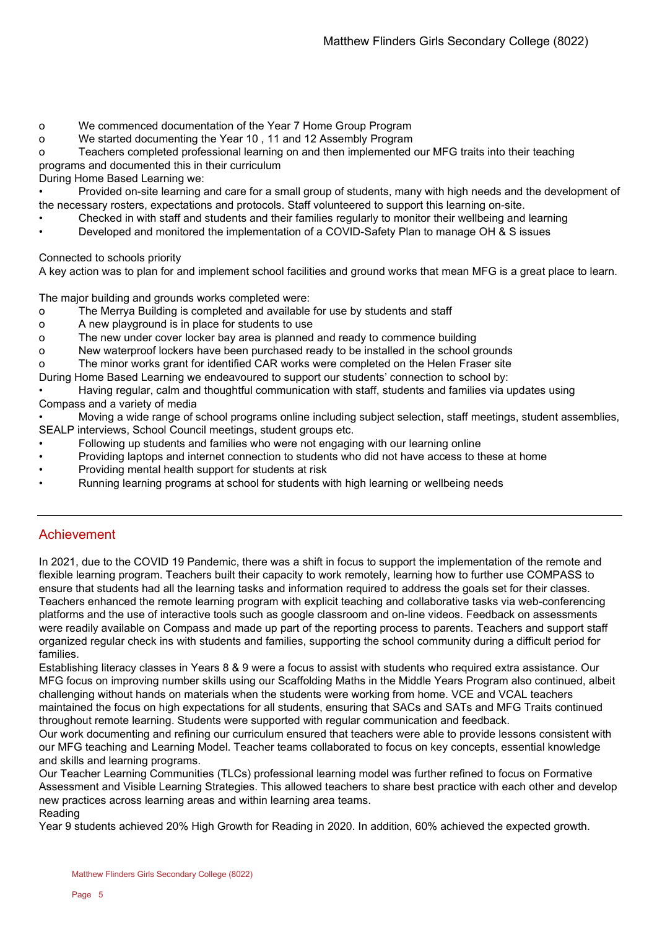- o We commenced documentation of the Year 7 Home Group Program
- o We started documenting the Year 10 , 11 and 12 Assembly Program

o Teachers completed professional learning on and then implemented our MFG traits into their teaching programs and documented this in their curriculum

During Home Based Learning we:

• Provided on-site learning and care for a small group of students, many with high needs and the development of the necessary rosters, expectations and protocols. Staff volunteered to support this learning on-site.

- Checked in with staff and students and their families regularly to monitor their wellbeing and learning
- Developed and monitored the implementation of a COVID-Safety Plan to manage OH & S issues

Connected to schools priority

A key action was to plan for and implement school facilities and ground works that mean MFG is a great place to learn.

The major building and grounds works completed were:

- o The Merrya Building is completed and available for use by students and staff
- o A new playground is in place for students to use
- o The new under cover locker bay area is planned and ready to commence building
- o New waterproof lockers have been purchased ready to be installed in the school grounds

o The minor works grant for identified CAR works were completed on the Helen Fraser site

During Home Based Learning we endeavoured to support our students' connection to school by:

• Having regular, calm and thoughtful communication with staff, students and families via updates using Compass and a variety of media

• Moving a wide range of school programs online including subject selection, staff meetings, student assemblies, SEALP interviews, School Council meetings, student groups etc.

- Following up students and families who were not engaging with our learning online
- Providing laptops and internet connection to students who did not have access to these at home
- Providing mental health support for students at risk
- Running learning programs at school for students with high learning or wellbeing needs

## Achievement

In 2021, due to the COVID 19 Pandemic, there was a shift in focus to support the implementation of the remote and flexible learning program. Teachers built their capacity to work remotely, learning how to further use COMPASS to ensure that students had all the learning tasks and information required to address the goals set for their classes. Teachers enhanced the remote learning program with explicit teaching and collaborative tasks via web-conferencing platforms and the use of interactive tools such as google classroom and on-line videos. Feedback on assessments were readily available on Compass and made up part of the reporting process to parents. Teachers and support staff organized regular check ins with students and families, supporting the school community during a difficult period for families.

Establishing literacy classes in Years 8 & 9 were a focus to assist with students who required extra assistance. Our MFG focus on improving number skills using our Scaffolding Maths in the Middle Years Program also continued, albeit challenging without hands on materials when the students were working from home. VCE and VCAL teachers maintained the focus on high expectations for all students, ensuring that SACs and SATs and MFG Traits continued throughout remote learning. Students were supported with regular communication and feedback.

Our work documenting and refining our curriculum ensured that teachers were able to provide lessons consistent with our MFG teaching and Learning Model. Teacher teams collaborated to focus on key concepts, essential knowledge and skills and learning programs.

Our Teacher Learning Communities (TLCs) professional learning model was further refined to focus on Formative Assessment and Visible Learning Strategies. This allowed teachers to share best practice with each other and develop new practices across learning areas and within learning area teams. Reading

Year 9 students achieved 20% High Growth for Reading in 2020. In addition, 60% achieved the expected growth.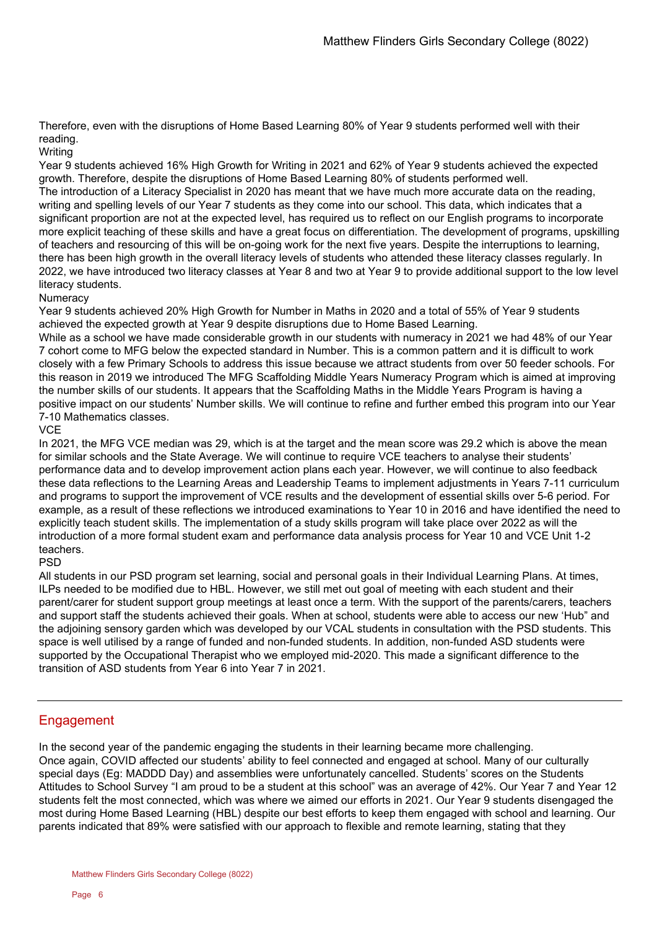Therefore, even with the disruptions of Home Based Learning 80% of Year 9 students performed well with their reading.

### **Writing**

Year 9 students achieved 16% High Growth for Writing in 2021 and 62% of Year 9 students achieved the expected growth. Therefore, despite the disruptions of Home Based Learning 80% of students performed well. The introduction of a Literacy Specialist in 2020 has meant that we have much more accurate data on the reading, writing and spelling levels of our Year 7 students as they come into our school. This data, which indicates that a significant proportion are not at the expected level, has required us to reflect on our English programs to incorporate more explicit teaching of these skills and have a great focus on differentiation. The development of programs, upskilling of teachers and resourcing of this will be on-going work for the next five years. Despite the interruptions to learning, there has been high growth in the overall literacy levels of students who attended these literacy classes regularly. In 2022, we have introduced two literacy classes at Year 8 and two at Year 9 to provide additional support to the low level literacy students.

### **Numeracy**

Year 9 students achieved 20% High Growth for Number in Maths in 2020 and a total of 55% of Year 9 students achieved the expected growth at Year 9 despite disruptions due to Home Based Learning.

While as a school we have made considerable growth in our students with numeracy in 2021 we had 48% of our Year 7 cohort come to MFG below the expected standard in Number. This is a common pattern and it is difficult to work closely with a few Primary Schools to address this issue because we attract students from over 50 feeder schools. For this reason in 2019 we introduced The MFG Scaffolding Middle Years Numeracy Program which is aimed at improving the number skills of our students. It appears that the Scaffolding Maths in the Middle Years Program is having a positive impact on our students' Number skills. We will continue to refine and further embed this program into our Year 7-10 Mathematics classes.

### **VCE**

In 2021, the MFG VCE median was 29, which is at the target and the mean score was 29.2 which is above the mean for similar schools and the State Average. We will continue to require VCE teachers to analyse their students' performance data and to develop improvement action plans each year. However, we will continue to also feedback these data reflections to the Learning Areas and Leadership Teams to implement adjustments in Years 7-11 curriculum and programs to support the improvement of VCE results and the development of essential skills over 5-6 period. For example, as a result of these reflections we introduced examinations to Year 10 in 2016 and have identified the need to explicitly teach student skills. The implementation of a study skills program will take place over 2022 as will the introduction of a more formal student exam and performance data analysis process for Year 10 and VCE Unit 1-2 teachers.

### PSD

All students in our PSD program set learning, social and personal goals in their Individual Learning Plans. At times, ILPs needed to be modified due to HBL. However, we still met out goal of meeting with each student and their parent/carer for student support group meetings at least once a term. With the support of the parents/carers, teachers and support staff the students achieved their goals. When at school, students were able to access our new 'Hub" and the adjoining sensory garden which was developed by our VCAL students in consultation with the PSD students. This space is well utilised by a range of funded and non-funded students. In addition, non-funded ASD students were supported by the Occupational Therapist who we employed mid-2020. This made a significant difference to the transition of ASD students from Year 6 into Year 7 in 2021.

## **Engagement**

In the second year of the pandemic engaging the students in their learning became more challenging. Once again, COVID affected our students' ability to feel connected and engaged at school. Many of our culturally special days (Eg: MADDD Day) and assemblies were unfortunately cancelled. Students' scores on the Students Attitudes to School Survey "I am proud to be a student at this school" was an average of 42%. Our Year 7 and Year 12 students felt the most connected, which was where we aimed our efforts in 2021. Our Year 9 students disengaged the most during Home Based Learning (HBL) despite our best efforts to keep them engaged with school and learning. Our parents indicated that 89% were satisfied with our approach to flexible and remote learning, stating that they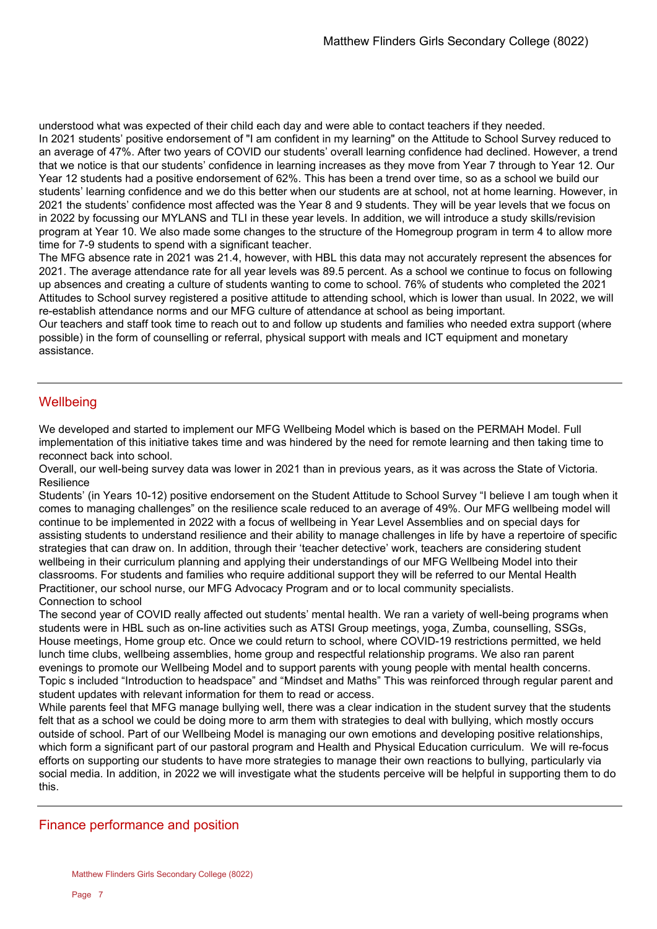understood what was expected of their child each day and were able to contact teachers if they needed.

In 2021 students' positive endorsement of "I am confident in my learning" on the Attitude to School Survey reduced to an average of 47%. After two years of COVID our students' overall learning confidence had declined. However, a trend that we notice is that our students' confidence in learning increases as they move from Year 7 through to Year 12. Our Year 12 students had a positive endorsement of 62%. This has been a trend over time, so as a school we build our students' learning confidence and we do this better when our students are at school, not at home learning. However, in 2021 the students' confidence most affected was the Year 8 and 9 students. They will be year levels that we focus on in 2022 by focussing our MYLANS and TLI in these year levels. In addition, we will introduce a study skills/revision program at Year 10. We also made some changes to the structure of the Homegroup program in term 4 to allow more time for 7-9 students to spend with a significant teacher.

The MFG absence rate in 2021 was 21.4, however, with HBL this data may not accurately represent the absences for 2021. The average attendance rate for all year levels was 89.5 percent. As a school we continue to focus on following up absences and creating a culture of students wanting to come to school. 76% of students who completed the 2021 Attitudes to School survey registered a positive attitude to attending school, which is lower than usual. In 2022, we will re-establish attendance norms and our MFG culture of attendance at school as being important.

Our teachers and staff took time to reach out to and follow up students and families who needed extra support (where possible) in the form of counselling or referral, physical support with meals and ICT equipment and monetary assistance.

# **Wellbeing**

We developed and started to implement our MFG Wellbeing Model which is based on the PERMAH Model. Full implementation of this initiative takes time and was hindered by the need for remote learning and then taking time to reconnect back into school.

Overall, our well-being survey data was lower in 2021 than in previous years, as it was across the State of Victoria. **Resilience** 

Students' (in Years 10-12) positive endorsement on the Student Attitude to School Survey "I believe I am tough when it comes to managing challenges" on the resilience scale reduced to an average of 49%. Our MFG wellbeing model will continue to be implemented in 2022 with a focus of wellbeing in Year Level Assemblies and on special days for assisting students to understand resilience and their ability to manage challenges in life by have a repertoire of specific strategies that can draw on. In addition, through their 'teacher detective' work, teachers are considering student wellbeing in their curriculum planning and applying their understandings of our MFG Wellbeing Model into their classrooms. For students and families who require additional support they will be referred to our Mental Health Practitioner, our school nurse, our MFG Advocacy Program and or to local community specialists. Connection to school

The second year of COVID really affected out students' mental health. We ran a variety of well-being programs when students were in HBL such as on-line activities such as ATSI Group meetings, yoga, Zumba, counselling, SSGs, House meetings, Home group etc. Once we could return to school, where COVID-19 restrictions permitted, we held lunch time clubs, wellbeing assemblies, home group and respectful relationship programs. We also ran parent evenings to promote our Wellbeing Model and to support parents with young people with mental health concerns. Topic s included "Introduction to headspace" and "Mindset and Maths" This was reinforced through regular parent and student updates with relevant information for them to read or access.

While parents feel that MFG manage bullying well, there was a clear indication in the student survey that the students felt that as a school we could be doing more to arm them with strategies to deal with bullying, which mostly occurs outside of school. Part of our Wellbeing Model is managing our own emotions and developing positive relationships, which form a significant part of our pastoral program and Health and Physical Education curriculum. We will re-focus efforts on supporting our students to have more strategies to manage their own reactions to bullying, particularly via social media. In addition, in 2022 we will investigate what the students perceive will be helpful in supporting them to do this.

## Finance performance and position